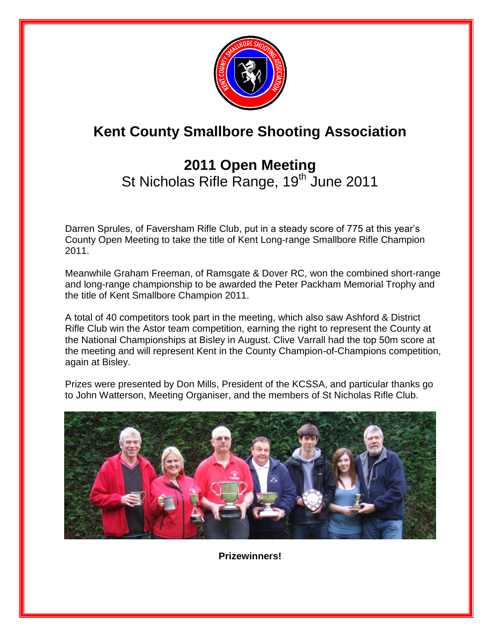

# **Kent County Smallbore Shooting Association**

# **2011 Open Meeting**  St Nicholas Rifle Range, 19<sup>th June 2011</sup>

Darren Sprules, of Faversham Rifle Club, put in a steady score of 775 at this year's County Open Meeting to take the title of Kent Long-range Smallbore Rifle Champion 2011.

Meanwhile Graham Freeman, of Ramsgate & Dover RC, won the combined short-range and long-range championship to be awarded the Peter Packham Memorial Trophy and the title of Kent Smallbore Champion 2011.

A total of 40 competitors took part in the meeting, which also saw Ashford & District Rifle Club win the Astor team competition, earning the right to represent the County at the National Championships at Bisley in August. Clive Varrall had the top 50m score at the meeting and will represent Kent in the County Champion-of-Champions competition, again at Bisley.

Prizes were presented by Don Mills, President of the KCSSA, and particular thanks go to John Watterson, Meeting Organiser, and the members of St Nicholas Rifle Club.



**Prizewinners!**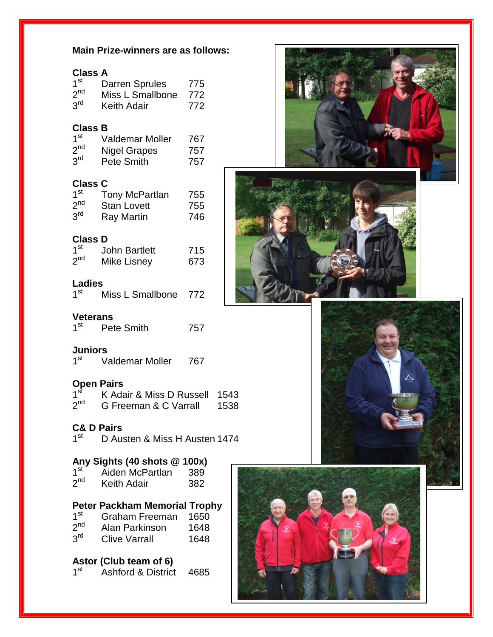#### **Main Prize-winners are as follows:**

| Clas | л<br>V<br>۰. |
|------|--------------|
|------|--------------|

| 1 <sup>st</sup> | <b>Darren Sprules</b> | 775 |
|-----------------|-----------------------|-----|
| 2 <sup>nd</sup> | Miss L Smallbone      | 772 |
| 3 <sup>rd</sup> | <b>Keith Adair</b>    | 772 |

### **Class B**

| 1 <sup>st</sup> | <b>Valdemar Moller</b> | 767 |
|-----------------|------------------------|-----|
| $2^{nd}$        | Nigel Grapes           | 757 |
| 3 <sup>rd</sup> | Pete Smith             | 757 |

# **Class C**

| 1 <sup>st</sup> | Tony McPartlan     | 755 |
|-----------------|--------------------|-----|
| 2 <sup>nd</sup> | <b>Stan Lovett</b> | 755 |
| 3 <sup>rd</sup> | Ray Martin         | 746 |

#### **Class D**

| $1^{\rm st}$ | <b>John Bartlett</b> | 715 |
|--------------|----------------------|-----|
| $2^{nd}$     | <b>Mike Lisney</b>   | 673 |

#### **Ladies**

| 1 <sup>st</sup> | Miss L Smallbone | 772 |
|-----------------|------------------|-----|
|                 |                  |     |

#### **Veterans**

| 4 <sup>st</sup> | Pete Smith | 757 |
|-----------------|------------|-----|
|                 |            |     |

#### **Juniors**

 $1<sup>st</sup>$ Valdemar Moller 767

# **Open Pairs**

| 1 <sup>st</sup> | K Adair & Miss D Russell 1543 |      |
|-----------------|-------------------------------|------|
| 2 <sup>nd</sup> | G Freeman & C Varrall         | 1538 |

# **C& D Pairs**

1<sup>st</sup> D Austen & Miss H Austen 1474

#### **Any Sights (40 shots @ 100x)**

| 1 <sup>st</sup> | Aiden McPartlan    | 389 |
|-----------------|--------------------|-----|
| 2 <sup>nd</sup> | <b>Keith Adair</b> | 382 |

# **Peter Packham Memorial Trophy**

 $1<sup>st</sup>$ Graham Freeman 1650  $2<sup>nd</sup>$ 

- Alan Parkinson 1648  $\overline{3}$ rd
- Clive Varrall 1648

# **Astor (Club team of 6)**

 $1<sup>st</sup>$  $\overrightarrow{A}$ Shford & District 4685







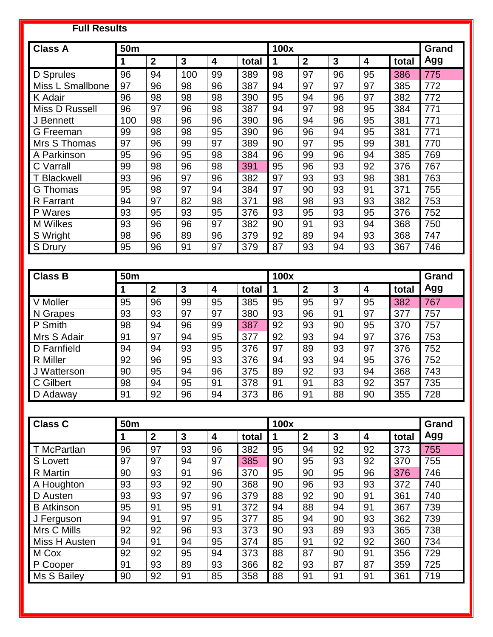# **Full Results**

| <b>Class A</b>     | <b>50m</b> |              |     |                         |       | 100x |                |    |    |       | Grand |
|--------------------|------------|--------------|-----|-------------------------|-------|------|----------------|----|----|-------|-------|
|                    | 1          | $\mathbf{2}$ | 3   | $\overline{\mathbf{4}}$ | total | 1    | $\overline{2}$ | 3  | 4  | total | Agg   |
| D Sprules          | 96         | 94           | 100 | 99                      | 389   | 98   | 97             | 96 | 95 | 386   | 775   |
| Miss L Smallbone   | 97         | 96           | 98  | 96                      | 387   | 94   | 97             | 97 | 97 | 385   | 772   |
| K Adair            | 96         | 98           | 98  | 98                      | 390   | 95   | 94             | 96 | 97 | 382   | 772   |
| Miss D Russell     | 96         | 97           | 96  | 98                      | 387   | 94   | 97             | 98 | 95 | 384   | 771   |
| J Bennett          | 100        | 98           | 96  | 96                      | 390   | 96   | 94             | 96 | 95 | 381   | 771   |
| G Freeman          | 99         | 98           | 98  | 95                      | 390   | 96   | 96             | 94 | 95 | 381   | 771   |
| Mrs S Thomas       | 97         | 96           | 99  | 97                      | 389   | 90   | 97             | 95 | 99 | 381   | 770   |
| A Parkinson        | 95         | 96           | 95  | 98                      | 384   | 96   | 99             | 96 | 94 | 385   | 769   |
| C Varrall          | 99         | 98           | 96  | 98                      | 391   | 95   | 96             | 93 | 92 | 376   | 767   |
| <b>T</b> Blackwell | 93         | 96           | 97  | 96                      | 382   | 97   | 93             | 93 | 98 | 381   | 763   |
| G Thomas           | 95         | 98           | 97  | 94                      | 384   | 97   | 90             | 93 | 91 | 371   | 755   |
| R Farrant          | 94         | 97           | 82  | 98                      | 371   | 98   | 98             | 93 | 93 | 382   | 753   |
| P Wares            | 93         | 95           | 93  | 95                      | 376   | 93   | 95             | 93 | 95 | 376   | 752   |
| <b>M</b> Wilkes    | 93         | 96           | 96  | 97                      | 382   | 90   | 91             | 93 | 94 | 368   | 750   |
| S Wright           | 98         | 96           | 89  | 96                      | 379   | 92   | 89             | 94 | 93 | 368   | 747   |
| S Drury            | 95         | 96           | 91  | 97                      | 379   | 87   | 93             | 94 | 93 | 367   | 746   |

| <b>Class B</b>  | 50m |                |    |    |       | 100x |              |                |                |       | Grand |
|-----------------|-----|----------------|----|----|-------|------|--------------|----------------|----------------|-------|-------|
|                 |     | $\overline{2}$ | 3  | 4  | total |      | $\mathbf{2}$ | $\overline{3}$ | $\overline{4}$ | total | Agg   |
| V Moller        | 95  | 96             | 99 | 95 | 385   | 95   | 95           | 97             | 95             | 382   | 767   |
| N Grapes        | 93  | 93             | 97 | 97 | 380   | 93   | 96           | 91             | 97             | 377   | 757   |
| P Smith         | 98  | 94             | 96 | 99 | 387   | 92   | 93           | 90             | 95             | 370   | 757   |
| Mrs S Adair     | 91  | 97             | 94 | 95 | 377   | 92   | 93           | 94             | 97             | 376   | 753   |
| D Farnfield     | 94  | 94             | 93 | 95 | 376   | 97   | 89           | 93             | 97             | 376   | 752   |
| <b>R</b> Miller | 92  | 96             | 95 | 93 | 376   | 94   | 93           | 94             | 95             | 376   | 752   |
| J Watterson     | 90  | 95             | 94 | 96 | 375   | 89   | 92           | 93             | 94             | 368   | 743   |
| C Gilbert       | 98  | 94             | 95 | 91 | 378   | 91   | 91           | 83             | 92             | 357   | 735   |
| D Adaway        | 91  | 92             | 96 | 94 | 373   | 86   | 91           | 88             | 90             | 355   | 728   |

| <b>Class C</b>    | 50 <sub>m</sub> |                |    |    |       |    | 100x             |    |                         |       | Grand |
|-------------------|-----------------|----------------|----|----|-------|----|------------------|----|-------------------------|-------|-------|
|                   |                 | $\overline{2}$ | 3  | 4  | total |    | $\boldsymbol{2}$ | 3  | $\overline{\mathbf{4}}$ | total | Agg   |
| T McPartlan       | 96              | 97             | 93 | 96 | 382   | 95 | 94               | 92 | 92                      | 373   | 755   |
| <b>S</b> Lovett   | 97              | 97             | 94 | 97 | 385   | 90 | 95               | 93 | 92                      | 370   | 755   |
| R Martin          | 90              | 93             | 91 | 96 | 370   | 95 | 90               | 95 | 96                      | 376   | 746   |
| A Houghton        | 93              | 93             | 92 | 90 | 368   | 90 | 96               | 93 | 93                      | 372   | 740   |
| D Austen          | 93              | 93             | 97 | 96 | 379   | 88 | 92               | 90 | 91                      | 361   | 740   |
| <b>B</b> Atkinson | 95              | 91             | 95 | 91 | 372   | 94 | 88               | 94 | 91                      | 367   | 739   |
| J Ferguson        | 94              | 91             | 97 | 95 | 377   | 85 | 94               | 90 | 93                      | 362   | 739   |
| Mrs C Mills       | 92              | 92             | 96 | 93 | 373   | 90 | 93               | 89 | 93                      | 365   | 738   |
| Miss H Austen     | 94              | 91             | 94 | 95 | 374   | 85 | 91               | 92 | 92                      | 360   | 734   |
| M Cox             | 92              | 92             | 95 | 94 | 373   | 88 | 87               | 90 | 91                      | 356   | 729   |
| P Cooper          | 91              | 93             | 89 | 93 | 366   | 82 | 93               | 87 | 87                      | 359   | 725   |
| Ms S Bailey       | 90              | 92             | 91 | 85 | 358   | 88 | 91               | 91 | 91                      | 361   | 719   |